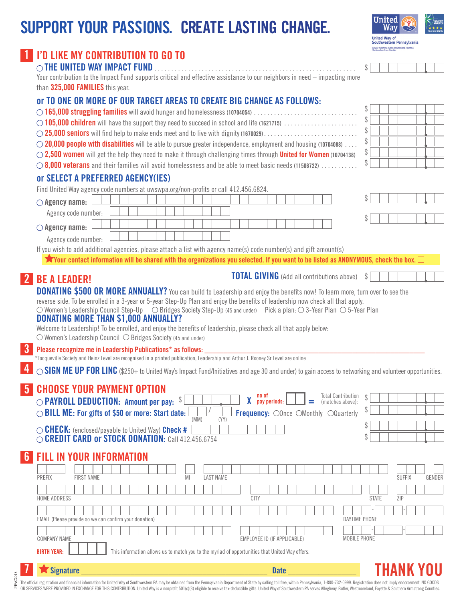# **SUPPORT YOUR PASSIONS. CREATE LASTING CHANGE.**

| <b>United</b><br><b>Nav</b>                       | <b>CHART</b><br>NAVIGATE<br>****<br><b>Four Star Charity</b> |
|---------------------------------------------------|--------------------------------------------------------------|
| <b>United Way of</b><br>Southwestern Pennsylvania |                                                              |

\$

\$

\$ \$

\$

\$

\$

|  |  | 1 I'D LIKE MY CONTRIBUTION TO GO TO |  |  |  |  |  |
|--|--|-------------------------------------|--|--|--|--|--|
|--|--|-------------------------------------|--|--|--|--|--|

# **THE UNITED WAY IMPACT FUND**. .

Your contribution to the Impact Fund supports critical and effective assistance to our neighbors in need – impacting more than **325,000 FAMILIES** this year.

### **or TO ONE OR MORE OF OUR TARGET AREAS TO CREATE BIG CHANGE AS FOLLOWS:**

- **165,000 struggling families** will avoid hunger and homelessness **(10704054)** .
- **105,000 children** will have the support they need to succeed in school and life **(1621715)** .
- **25,000 seniors** will find help to make ends meet and to live with dignity **(1670029)** .
- **20,000 people with disabilities** will be able to pursue greater independence, employment and housing **(10704088)** .
- **2,500 women** will get the help they need to make it through challenging times through **United for Women (10704138)**
- **8,000 veterans** and their families will avoid homelessness and be able to meet basic needs **(11506722)** .

### **or SELECT A PREFERRED AGENCY(IES)**

Find United Way agency code numbers at uwswpa.org/non-profits or call 412.456.6824.

| $\bigcirc$ Agency name: |  |  |  |  |  |  |  |  |  |  |  |  |   |
|-------------------------|--|--|--|--|--|--|--|--|--|--|--|--|---|
| Agency code number:     |  |  |  |  |  |  |  |  |  |  |  |  |   |
| $\bigcirc$ Agency name: |  |  |  |  |  |  |  |  |  |  |  |  |   |
| Agency code number:     |  |  |  |  |  |  |  |  |  |  |  |  |   |
|                         |  |  |  |  |  |  |  |  |  |  |  |  | . |

If you wish to add additional agencies, please attach a list with agency name(s) code number(s) and gift amount(s)

**X** Your contact information will be shared with the organizations you selected. If you want to be listed as ANONYMOUS, check the box.

**TOTAL GIVING** (Add all contributions above) \$

**DONATING \$500 OR MORE ANNUALLY?** You can build to Leadership and enjoy the benefits now! To learn more, turn over to see the reverse side. To be enrolled in a 3-year or 5-year Step-Up Plan and enjoy the benefits of leadership now check all that apply.

 $\bigcirc$  Women's Leadership Council Step-Up  $\bigcirc$  Bridges Society Step-Up (45 and under) Pick a plan:  $\bigcirc$  3-Year Plan  $\bigcirc$  5-Year Plan

### **DONATING MORE THAN \$1,000 ANNUALLY?**

**2 BE A LEADER!**

**4**

Welcome to Leadership! To be enrolled, and enjoy the benefits of leadership, please check all that apply below:  $\circ$  Women's Leadership Council  $\circ$  Bridges Society (45 and under)

**3** Please recognize me in Leadership Publications\* as follows:

\*Tocqueville Society and Heinz Level are recognised in a printed publication, Leadership and Arthur J. Rooney Sr Level are online

◯ SIGN ME UP FOR LINC (\$250+ to United Way's Impact Fund/Initiatives and age 30 and under) to gain access to networking and volunteer opportunities.

#### **CHOOSE YOUR PAYMENT OPTION 5**

| $\bigcirc$ PAYROLL DEDUCTION: Amount per pay:<br>◯ BILL ME: For gifts of \$50 or more: Start date:                        | (MM | Total Contribution<br>(matches above):<br>no of<br>Frequency: OOnce OMonthly OQuarterly<br>(YY) |        |        |
|---------------------------------------------------------------------------------------------------------------------------|-----|-------------------------------------------------------------------------------------------------|--------|--------|
| $\circlearrowright$ CHECK: (enclosed/payable to United Way) Check #<br>O CREDIT CARD or STOCK DONATION: Call 412.456.6754 |     |                                                                                                 |        |        |
| <b>6 FILL IN YOUR INFORMATION</b>                                                                                         |     |                                                                                                 |        |        |
| <b>FIRST NAME</b>                                                                                                         |     | <b>LAST NAME</b>                                                                                | SUFFIX | GENDER |

| <b>HOME ADDRESS</b>                                    | <b>CITY</b>                                                                                    | ZIP<br><b>STATE</b> |
|--------------------------------------------------------|------------------------------------------------------------------------------------------------|---------------------|
| EMAIL (Please provide so we can confirm your donation) |                                                                                                | DAYTIME PHONE       |
| <b>COMPANY NAME</b>                                    | EMPLOYEE ID (IF APPLICABLE)                                                                    | MOBILE PHONE        |
| <b>BIRTH YEAR:</b>                                     | This information allows us to match you to the myriad of opportunities that United Way offers. |                     |

# **7 Signature \_\_\_\_\_\_\_\_\_\_\_\_\_\_\_\_\_\_\_\_\_\_\_\_\_\_\_\_\_\_\_\_\_\_\_\_\_\_\_\_\_\_\_\_\_\_\_\_\_ Date \_\_\_\_\_\_\_\_\_\_\_\_\_\_\_\_\_\_**

PFAC2018PFAC2018

**THANK YOU**

The official registration and financial information for United Way of Southwestern PA may be obtained from the Pennsylvania Department of State by calling toll free, within Pennsylvania, 1-800-732-0999. Registration does n OR SERVICES WERE PROVIDED IN EXCHANGE FOR THIS CONTRIBUTION. United Way is a nonprofit 501(c)(3) eligible to receive tax-deductible gifts. United Way of Southwestern PA serves Allegheny, Butler, Westmoreland, Fayette & Sou